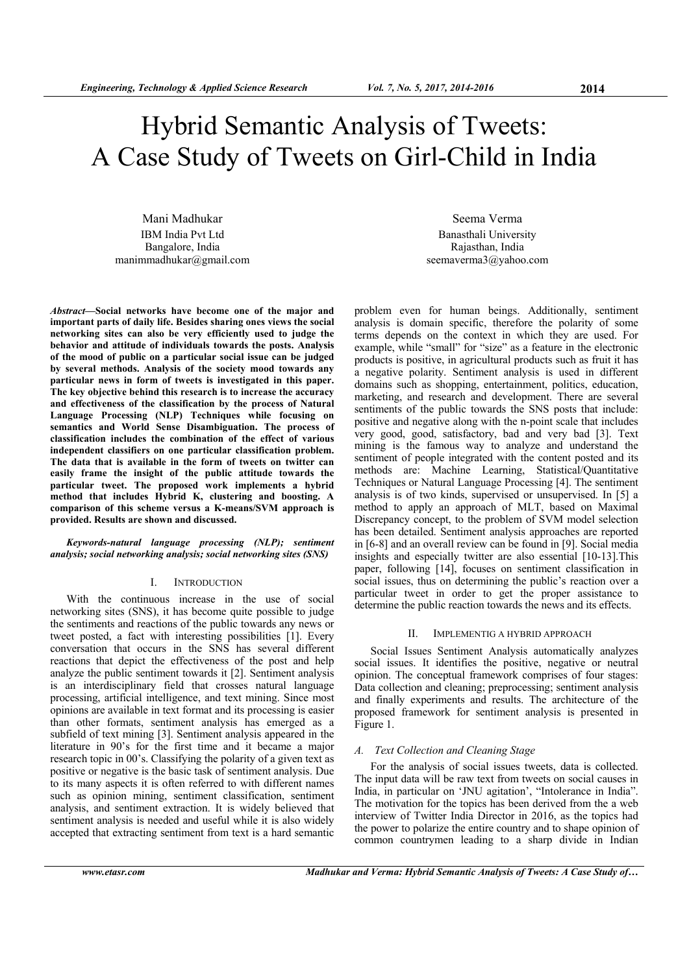# Hybrid Semantic Analysis of Tweets: A Case Study of Tweets on Girl-Child in India

Mani Madhukar IBM India Pvt Ltd Bangalore, India manimmadhukar@gmail.com

*Abstract***—Social networks have become one of the major and important parts of daily life. Besides sharing ones views the social networking sites can also be very efficiently used to judge the behavior and attitude of individuals towards the posts. Analysis of the mood of public on a particular social issue can be judged by several methods. Analysis of the society mood towards any particular news in form of tweets is investigated in this paper. The key objective behind this research is to increase the accuracy and effectiveness of the classification by the process of Natural Language Processing (NLP) Techniques while focusing on semantics and World Sense Disambiguation. The process of classification includes the combination of the effect of various independent classifiers on one particular classification problem. The data that is available in the form of tweets on twitter can easily frame the insight of the public attitude towards the particular tweet. The proposed work implements a hybrid method that includes Hybrid K, clustering and boosting. A comparison of this scheme versus a K-means/SVM approach is provided. Results are shown and discussed.** 

*Keywords-natural language processing (NLP); sentiment analysis; social networking analysis; social networking sites (SNS)* 

## I. INTRODUCTION

With the continuous increase in the use of social networking sites (SNS), it has become quite possible to judge the sentiments and reactions of the public towards any news or tweet posted, a fact with interesting possibilities [1]. Every conversation that occurs in the SNS has several different reactions that depict the effectiveness of the post and help analyze the public sentiment towards it [2]. Sentiment analysis is an interdisciplinary field that crosses natural language processing, artificial intelligence, and text mining. Since most opinions are available in text format and its processing is easier than other formats, sentiment analysis has emerged as a subfield of text mining [3]. Sentiment analysis appeared in the literature in 90's for the first time and it became a major research topic in 00's. Classifying the polarity of a given text as positive or negative is the basic task of sentiment analysis. Due to its many aspects it is often referred to with different names such as opinion mining, sentiment classification, sentiment analysis, and sentiment extraction. It is widely believed that sentiment analysis is needed and useful while it is also widely accepted that extracting sentiment from text is a hard semantic

Seema Verma Banasthali University Rajasthan, India seemaverma3@yahoo.com

problem even for human beings. Additionally, sentiment analysis is domain specific, therefore the polarity of some terms depends on the context in which they are used. For example, while "small" for "size" as a feature in the electronic products is positive, in agricultural products such as fruit it has a negative polarity. Sentiment analysis is used in different domains such as shopping, entertainment, politics, education, marketing, and research and development. There are several sentiments of the public towards the SNS posts that include: positive and negative along with the n-point scale that includes very good, good, satisfactory, bad and very bad [3]. Text mining is the famous way to analyze and understand the sentiment of people integrated with the content posted and its methods are: Machine Learning, Statistical/Quantitative Techniques or Natural Language Processing [4]. The sentiment analysis is of two kinds, supervised or unsupervised. In [5] a method to apply an approach of MLT, based on Maximal Discrepancy concept, to the problem of SVM model selection has been detailed. Sentiment analysis approaches are reported in [6-8] and an overall review can be found in [9]. Social media insights and especially twitter are also essential [10-13].This paper, following [14], focuses on sentiment classification in social issues, thus on determining the public's reaction over a particular tweet in order to get the proper assistance to determine the public reaction towards the news and its effects.

## II. IMPLEMENTIG A HYBRID APPROACH

Social Issues Sentiment Analysis automatically analyzes social issues. It identifies the positive, negative or neutral opinion. The conceptual framework comprises of four stages: Data collection and cleaning; preprocessing; sentiment analysis and finally experiments and results. The architecture of the proposed framework for sentiment analysis is presented in Figure 1.

## *A. Text Collection and Cleaning Stage*

For the analysis of social issues tweets, data is collected. The input data will be raw text from tweets on social causes in India, in particular on 'JNU agitation', "Intolerance in India". The motivation for the topics has been derived from the a web interview of Twitter India Director in 2016, as the topics had the power to polarize the entire country and to shape opinion of common countrymen leading to a sharp divide in Indian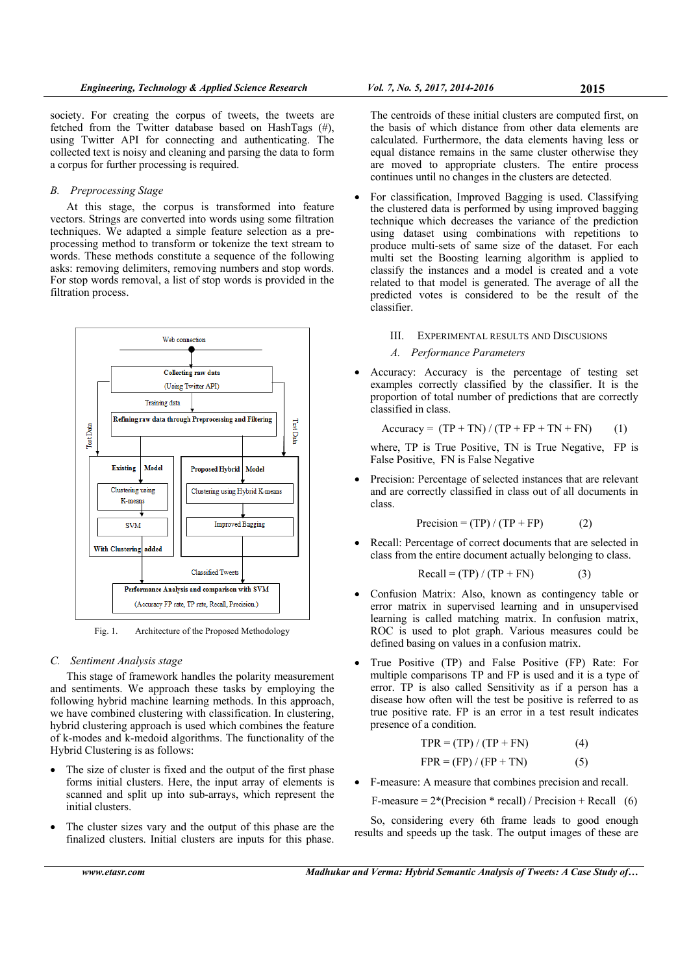society. For creating the corpus of tweets, the tweets are fetched from the Twitter database based on HashTags (#), using Twitter API for connecting and authenticating. The collected text is noisy and cleaning and parsing the data to form a corpus for further processing is required.

## *B. Preprocessing Stage*

At this stage, the corpus is transformed into feature vectors. Strings are converted into words using some filtration techniques. We adapted a simple feature selection as a preprocessing method to transform or tokenize the text stream to words. These methods constitute a sequence of the following asks: removing delimiters, removing numbers and stop words. For stop words removal, a list of stop words is provided in the filtration process.



Fig. 1. Architecture of the Proposed Methodology

### *C. Sentiment Analysis stage*

This stage of framework handles the polarity measurement and sentiments. We approach these tasks by employing the following hybrid machine learning methods. In this approach, we have combined clustering with classification. In clustering, hybrid clustering approach is used which combines the feature of k-modes and k-medoid algorithms. The functionality of the Hybrid Clustering is as follows:

- The size of cluster is fixed and the output of the first phase forms initial clusters. Here, the input array of elements is scanned and split up into sub-arrays, which represent the initial clusters.
- The cluster sizes vary and the output of this phase are the finalized clusters. Initial clusters are inputs for this phase.

The centroids of these initial clusters are computed first, on the basis of which distance from other data elements are calculated. Furthermore, the data elements having less or equal distance remains in the same cluster otherwise they are moved to appropriate clusters. The entire process continues until no changes in the clusters are detected.

- For classification, Improved Bagging is used. Classifying the clustered data is performed by using improved bagging technique which decreases the variance of the prediction using dataset using combinations with repetitions to produce multi-sets of same size of the dataset. For each multi set the Boosting learning algorithm is applied to classify the instances and a model is created and a vote related to that model is generated. The average of all the predicted votes is considered to be the result of the classifier.
	- III. EXPERIMENTAL RESULTS AND DISCUSIONS
	- *A. Performance Parameters*
- Accuracy: Accuracy is the percentage of testing set examples correctly classified by the classifier. It is the proportion of total number of predictions that are correctly classified in class.

$$
Accuracy = (TP + TN) / (TP + FP + TN + FN)
$$
 (1)

where, TP is True Positive, TN is True Negative, FP is False Positive, FN is False Negative

 Precision: Percentage of selected instances that are relevant and are correctly classified in class out of all documents in class.

$$
Precision = (TP) / (TP + FP)
$$
 (2)

 Recall: Percentage of correct documents that are selected in class from the entire document actually belonging to class.

$$
Recall = (TP) / (TP + FN)
$$
 (3)

- Confusion Matrix: Also, known as contingency table or error matrix in supervised learning and in unsupervised learning is called matching matrix. In confusion matrix, ROC is used to plot graph. Various measures could be defined basing on values in a confusion matrix.
- True Positive (TP) and False Positive (FP) Rate: For multiple comparisons TP and FP is used and it is a type of error. TP is also called Sensitivity as if a person has a disease how often will the test be positive is referred to as true positive rate. FP is an error in a test result indicates presence of a condition.

$$
TPR = (TP) / (TP + FN)
$$
 (4)

$$
FPR = (FP) / (FP + TN)
$$
 (5)

F-measure: A measure that combines precision and recall.

F-measure =  $2*(Precision * recall) / Precision + Recall$  (6)

So, considering every 6th frame leads to good enough results and speeds up the task. The output images of these are